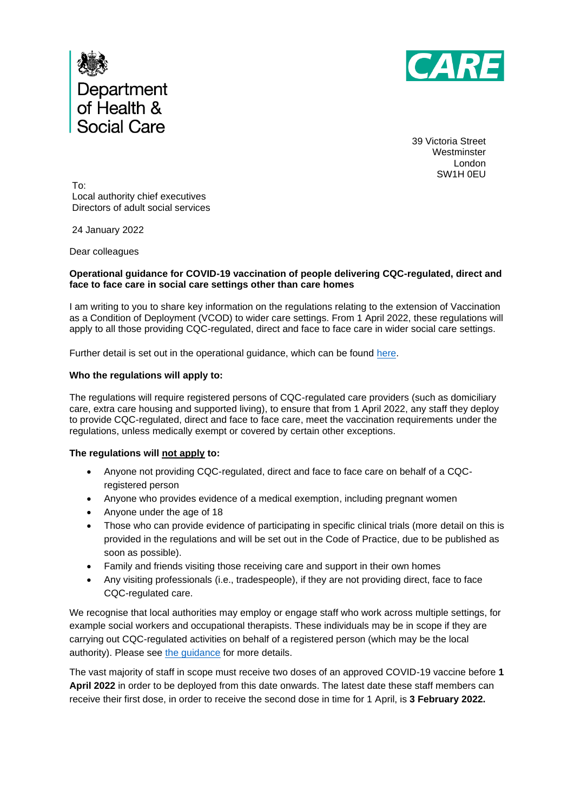



39 Victoria Street **Westminster** London SW1H 0EU

To: Local authority chief executives Directors of adult social services

24 January 2022

Dear colleagues

### **Operational guidance for COVID-19 vaccination of people delivering CQC-regulated, direct and face to face care in social care settings other than care homes**

I am writing to you to share key information on the regulations relating to the extension of Vaccination as a Condition of Deployment (VCOD) to wider care settings. From 1 April 2022, these regulations will apply to all those providing CQC-regulated, direct and face to face care in wider social care settings.

Further detail is set out in the operational guidance, which can be found [here.](https://www.gov.uk/government/publications/vaccination-of-workers-in-social-care-settings-other-than-care-homes-operational-guidance/coronavirus-covid-19-vaccination-as-a-condition-of-deployment-for-the-delivery-of-cqc-regulated-activities-in-wider-adult-social-care-settings)

### **Who the regulations will apply to:**

The regulations will require registered persons of CQC-regulated care providers (such as domiciliary care, extra care housing and supported living), to ensure that from 1 April 2022, any staff they deploy to provide CQC-regulated, direct and face to face care, meet the vaccination requirements under the regulations, unless medically exempt or covered by certain other exceptions.

#### **The regulations will not apply to:**

- Anyone not providing CQC-regulated, direct and face to face care on behalf of a CQCregistered person
- Anyone who provides evidence of a medical exemption, including pregnant women
- Anyone under the age of 18
- Those who can provide evidence of participating in specific clinical trials (more detail on this is provided in the regulations and will be set out in the Code of Practice, due to be published as soon as possible).
- Family and friends visiting those receiving care and support in their own homes
- Any visiting professionals (i.e., tradespeople), if they are not providing direct, face to face CQC-regulated care.

We recognise that local authorities may employ or engage staff who work across multiple settings, for example social workers and occupational therapists. These individuals may be in scope if they are carrying out CQC-regulated activities on behalf of a registered person (which may be the local authority). Please see [the guidance](https://www.gov.uk/government/publications/vaccination-of-workers-in-social-care-settings-other-than-care-homes-operational-guidance/coronavirus-covid-19-vaccination-as-a-condition-of-deployment-for-the-delivery-of-cqc-regulated-activities-in-wider-adult-social-care-settings) for more details.

The vast majority of staff in scope must receive two doses of an approved COVID-19 vaccine before **1 April 2022** in order to be deployed from this date onwards. The latest date these staff members can receive their first dose, in order to receive the second dose in time for 1 April, is **3 February 2022.**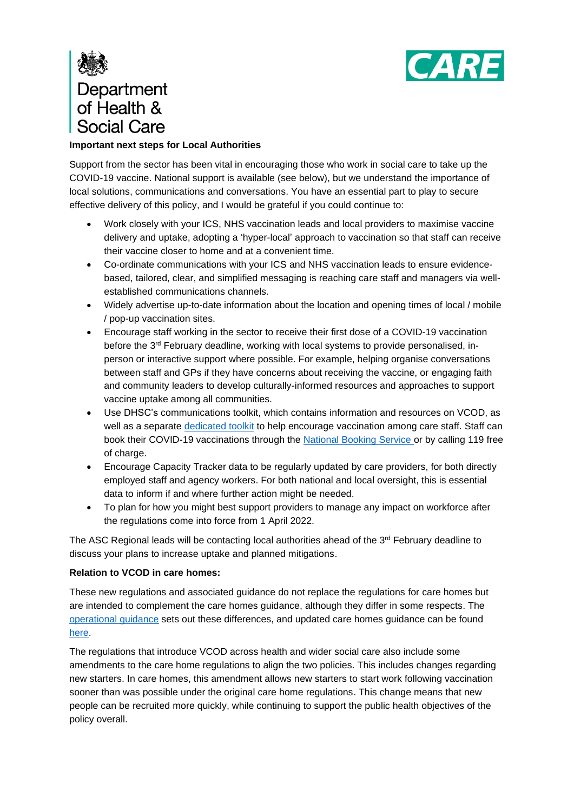

# Department of Health & **Social Care**

## **Important next steps for Local Authorities**

Support from the sector has been vital in encouraging those who work in social care to take up the COVID-19 vaccine. National support is available (see below), but we understand the importance of local solutions, communications and conversations. You have an essential part to play to secure effective delivery of this policy, and I would be grateful if you could continue to:

- Work closely with your ICS, NHS vaccination leads and local providers to maximise vaccine delivery and uptake, adopting a 'hyper-local' approach to vaccination so that staff can receive their vaccine closer to home and at a convenient time.
- Co-ordinate communications with your ICS and NHS vaccination leads to ensure evidencebased, tailored, clear, and simplified messaging is reaching care staff and managers via wellestablished communications channels.
- Widely advertise up-to-date information about the location and opening times of local / mobile / pop-up vaccination sites.
- Encourage staff working in the sector to receive their first dose of a COVID-19 vaccination before the  $3^{rd}$  February deadline, working with local systems to provide personalised, inperson or interactive support where possible. For example, helping organise conversations between staff and GPs if they have concerns about receiving the vaccine, or engaging faith and community leaders to develop culturally-informed resources and approaches to support vaccine uptake among all communities.
- Use DHSC's [communications toolkit,](https://drive.google.com/drive/folders/1UcB985rbWuJQXZ0woCqq-mtKDJOYpKXp) which contains information and resources on VCOD, as well as a separate [dedicated toolkit](https://campaignresources.phe.gov.uk/resources/campaigns/92/resources/5855) to help encourage vaccination among care staff. Staff can book their COVID-19 vaccinations through the [National Booking Service](https://digital.nhs.uk/coronavirus/vaccinations/national-booking-service) or by calling 119 free of charge.
- Encourage Capacity Tracker data to be regularly updated by care providers, for both directly employed staff and agency workers. For both national and local oversight, this is essential data to inform if and where further action might be needed.
- To plan for how you might best support providers to manage any impact on workforce after the regulations come into force from 1 April 2022.

The ASC Regional leads will be contacting local authorities ahead of the 3rd February deadline to discuss your plans to increase uptake and planned mitigations.

## **Relation to VCOD in care homes:**

These new regulations and associated guidance do not replace the regulations for care homes but are intended to complement the care homes guidance, although they differ in some respects. The [operational guidance](https://www.gov.uk/government/publications/vaccination-of-workers-in-social-care-settings-other-than-care-homes-operational-guidance/coronavirus-covid-19-vaccination-as-a-condition-of-deployment-for-the-delivery-of-cqc-regulated-activities-in-wider-adult-social-care-settings) sets out these differences, and updated care homes guidance can be found [here.](https://www.gov.uk/government/publications/vaccination-of-people-working-or-deployed-in-care-homes-operational-guidance)

The regulations that introduce VCOD across health and wider social care also include some amendments to the care home regulations to align the two policies. This includes changes regarding new starters. In care homes, this amendment allows new starters to start work following vaccination sooner than was possible under the original care home regulations. This change means that new people can be recruited more quickly, while continuing to support the public health objectives of the policy overall.